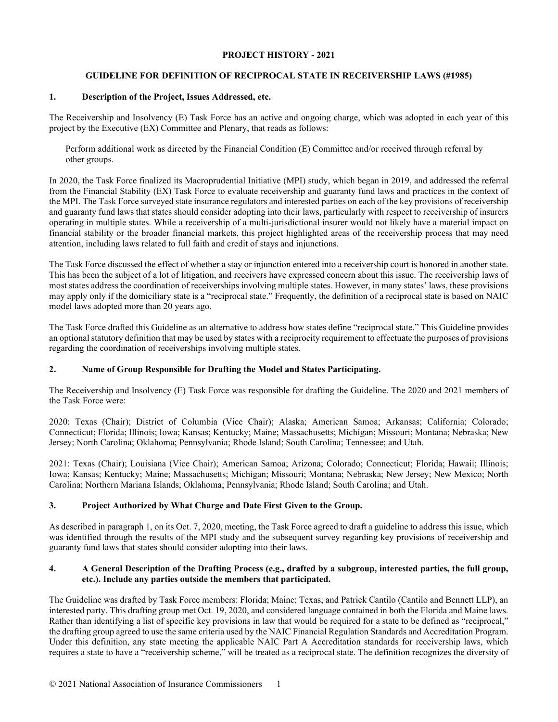### **PROJECT HISTORY - 2021**

# **GUIDELINE FOR DEFINITION OF RECIPROCAL STATE IN RECEIVERSHIP LAWS (#1985)**

## **1. Description of the Project, Issues Addressed, etc.**

The Receivership and Insolvency (E) Task Force has an active and ongoing charge, which was adopted in each year of this project by the Executive (EX) Committee and Plenary, that reads as follows:

Perform additional work as directed by the Financial Condition (E) Committee and/or received through referral by other groups.

In 2020, the Task Force finalized its Macroprudential Initiative (MPI) study, which began in 2019, and addressed the referral from the Financial Stability (EX) Task Force to evaluate receivership and guaranty fund laws and practices in the context of the MPI. The Task Force surveyed state insurance regulators and interested parties on each of the key provisions of receivership and guaranty fund laws that states should consider adopting into their laws, particularly with respect to receivership of insurers operating in multiple states. While a receivership of a multi-jurisdictional insurer would not likely have a material impact on financial stability or the broader financial markets, this project highlighted areas of the receivership process that may need attention, including laws related to full faith and credit of stays and injunctions.

The Task Force discussed the effect of whether a stay or injunction entered into a receivership court is honored in another state. This has been the subject of a lot of litigation, and receivers have expressed concern about this issue. The receivership laws of most states address the coordination of receiverships involving multiple states. However, in many states' laws, these provisions may apply only if the domiciliary state is a "reciprocal state." Frequently, the definition of a reciprocal state is based on NAIC model laws adopted more than 20 years ago.

The Task Force drafted this Guideline as an alternative to address how states define "reciprocal state." This Guideline provides an optional statutory definition that may be used by states with a reciprocity requirement to effectuate the purposes of provisions regarding the coordination of receiverships involving multiple states.

# **2. Name of Group Responsible for Drafting the Model and States Participating.**

The Receivership and Insolvency (E) Task Force was responsible for drafting the Guideline. The 2020 and 2021 members of the Task Force were:

2020: Texas (Chair); District of Columbia (Vice Chair); Alaska; American Samoa; Arkansas; California; Colorado; Connecticut; Florida; Illinois; Iowa; Kansas; Kentucky; Maine; Massachusetts; Michigan; Missouri; Montana; Nebraska; New Jersey; North Carolina; Oklahoma; Pennsylvania; Rhode Island; South Carolina; Tennessee; and Utah.

2021: Texas (Chair); Louisiana (Vice Chair); American Samoa; Arizona; Colorado; Connecticut; Florida; Hawaii; Illinois; Iowa; Kansas; Kentucky; Maine; Massachusetts; Michigan; Missouri; Montana; Nebraska; New Jersey; New Mexico; North Carolina; Northern Mariana Islands; Oklahoma; Pennsylvania; Rhode Island; South Carolina; and Utah.

# **3. Project Authorized by What Charge and Date First Given to the Group.**

As described in paragraph 1, on its Oct. 7, 2020, meeting, the Task Force agreed to draft a guideline to address this issue, which was identified through the results of the MPI study and the subsequent survey regarding key provisions of receivership and guaranty fund laws that states should consider adopting into their laws.

### **4. A General Description of the Drafting Process (e.g., drafted by a subgroup, interested parties, the full group, etc.). Include any parties outside the members that participated.**

The Guideline was drafted by Task Force members: Florida; Maine; Texas; and Patrick Cantilo (Cantilo and Bennett LLP), an interested party. This drafting group met Oct. 19, 2020, and considered language contained in both the Florida and Maine laws. Rather than identifying a list of specific key provisions in law that would be required for a state to be defined as "reciprocal," the drafting group agreed to use the same criteria used by the NAIC Financial Regulation Standards and Accreditation Program. Under this definition, any state meeting the applicable NAIC Part A Accreditation standards for receivership laws, which requires a state to have a "receivership scheme," will be treated as a reciprocal state. The definition recognizes the diversity of